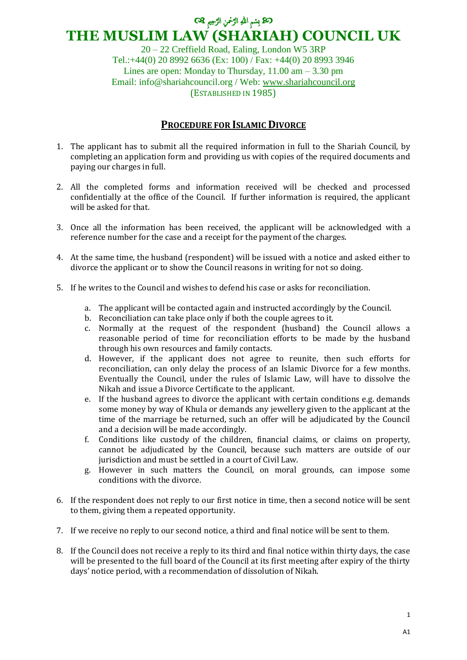## ن الرَّحْمَنِ اللهِ الرَّحْمَنِ الرَّحِيمِ @ ِ َّ َّ ِ **THE MUSLIM LAW (SHARIAH) COUNCIL UK**

20 – 22 Creffield Road, Ealing, London W5 3RP Tel.:+44(0) 20 8992 6636 (Ex: 100) / Fax: +44(0) 20 8993 3946 Lines are open: Monday to Thursday,  $11.00 \text{ am} - 3.30 \text{ pm}$ Email: info@shariahcouncil.org / Web: [www.shariahcouncil.org](http://www.shariahcouncil.org/) (ESTABLISHED IN 1985)

## **PROCEDURE FOR ISLAMIC DIVORCE**

- 1. The applicant has to submit all the required information in full to the Shariah Council, by completing an application form and providing us with copies of the required documents and paying our charges in full.
- 2. All the completed forms and information received will be checked and processed confidentially at the office of the Council. If further information is required, the applicant will be asked for that.
- 3. Once all the information has been received, the applicant will be acknowledged with a reference number for the case and a receipt for the payment of the charges.
- 4. At the same time, the husband (respondent) will be issued with a notice and asked either to divorce the applicant or to show the Council reasons in writing for not so doing.
- 5. If he writes to the Council and wishes to defend his case or asks for reconciliation.
	- a. The applicant will be contacted again and instructed accordingly by the Council.
	- b. Reconciliation can take place only if both the couple agrees to it.
	- c. Normally at the request of the respondent (husband) the Council allows a reasonable period of time for reconciliation efforts to be made by the husband through his own resources and family contacts.
	- d. However, if the applicant does not agree to reunite, then such efforts for reconciliation, can only delay the process of an Islamic Divorce for a few months. Eventually the Council, under the rules of Islamic Law, will have to dissolve the Nikah and issue a Divorce Certificate to the applicant.
	- e. If the husband agrees to divorce the applicant with certain conditions e.g. demands some money by way of Khula or demands any jewellery given to the applicant at the time of the marriage be returned, such an offer will be adjudicated by the Council and a decision will be made accordingly.
	- f. Conditions like custody of the children, financial claims, or claims on property, cannot be adjudicated by the Council, because such matters are outside of our jurisdiction and must be settled in a court of Civil Law.
	- g. However in such matters the Council, on moral grounds, can impose some conditions with the divorce.
- 6. If the respondent does not reply to our first notice in time, then a second notice will be sent to them, giving them a repeated opportunity.
- 7. If we receive no reply to our second notice, a third and final notice will be sent to them.
- 8. If the Council does not receive a reply to its third and final notice within thirty days, the case will be presented to the full board of the Council at its first meeting after expiry of the thirty days' notice period, with a recommendation of dissolution of Nikah.

1